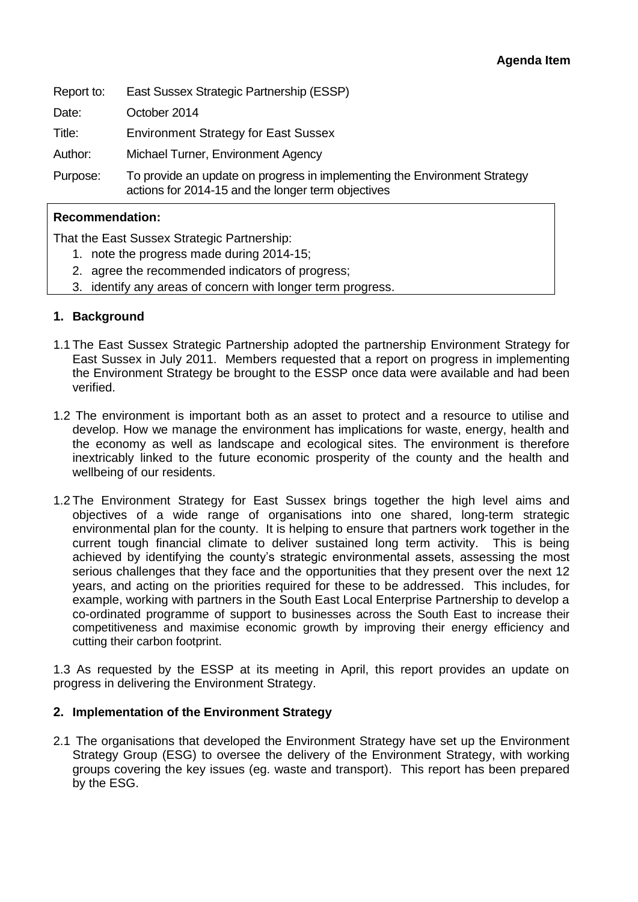Report to: East Sussex Strategic Partnership (ESSP)

Date: October 2014

Title: Environment Strategy for East Sussex

Author: Michael Turner, Environment Agency

Purpose: To provide an update on progress in implementing the Environment Strategy actions for 2014-15 and the longer term objectives

## **Recommendation:**

That the East Sussex Strategic Partnership:

- 1. note the progress made during 2014-15;
- 2. agree the recommended indicators of progress;
- 3. identify any areas of concern with longer term progress.

## **1. Background**

- 1.1 The East Sussex Strategic Partnership adopted the partnership Environment Strategy for East Sussex in July 2011. Members requested that a report on progress in implementing the Environment Strategy be brought to the ESSP once data were available and had been verified.
- 1.2 The environment is important both as an asset to protect and a resource to utilise and develop. How we manage the environment has implications for waste, energy, health and the economy as well as landscape and ecological sites. The environment is therefore inextricably linked to the future economic prosperity of the county and the health and wellbeing of our residents.
- 1.2 The Environment Strategy for East Sussex brings together the high level aims and objectives of a wide range of organisations into one shared, long-term strategic environmental plan for the county. It is helping to ensure that partners work together in the current tough financial climate to deliver sustained long term activity. This is being achieved by identifying the county's strategic environmental assets, assessing the most serious challenges that they face and the opportunities that they present over the next 12 years, and acting on the priorities required for these to be addressed. This includes, for example, working with partners in the South East Local Enterprise Partnership to develop a co-ordinated programme of support to businesses across the South East to increase their competitiveness and maximise economic growth by improving their energy efficiency and cutting their carbon footprint.

1.3 As requested by the ESSP at its meeting in April, this report provides an update on progress in delivering the Environment Strategy.

### **2. Implementation of the Environment Strategy**

2.1 The organisations that developed the Environment Strategy have set up the Environment Strategy Group (ESG) to oversee the delivery of the Environment Strategy, with working groups covering the key issues (eg. waste and transport). This report has been prepared by the ESG.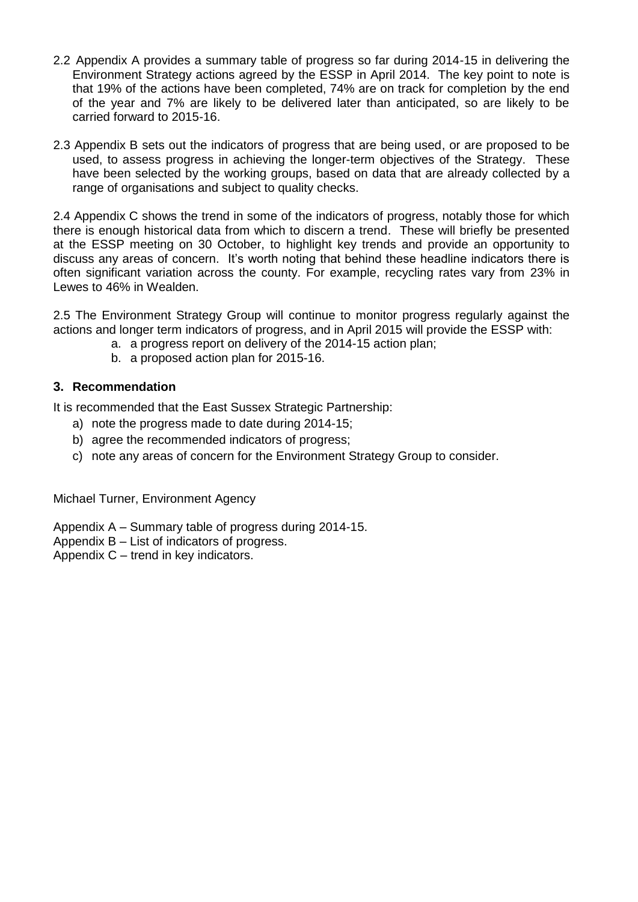- 2.2 Appendix A provides a summary table of progress so far during 2014-15 in delivering the Environment Strategy actions agreed by the ESSP in April 2014. The key point to note is that 19% of the actions have been completed, 74% are on track for completion by the end of the year and 7% are likely to be delivered later than anticipated, so are likely to be carried forward to 2015-16.
- 2.3 Appendix B sets out the indicators of progress that are being used, or are proposed to be used, to assess progress in achieving the longer-term objectives of the Strategy. These have been selected by the working groups, based on data that are already collected by a range of organisations and subject to quality checks.

2.4 Appendix C shows the trend in some of the indicators of progress, notably those for which there is enough historical data from which to discern a trend. These will briefly be presented at the ESSP meeting on 30 October, to highlight key trends and provide an opportunity to discuss any areas of concern. It's worth noting that behind these headline indicators there is often significant variation across the county. For example, recycling rates vary from 23% in Lewes to 46% in Wealden.

2.5 The Environment Strategy Group will continue to monitor progress regularly against the actions and longer term indicators of progress, and in April 2015 will provide the ESSP with:

- a. a progress report on delivery of the 2014-15 action plan;
- b. a proposed action plan for 2015-16.

## **3. Recommendation**

It is recommended that the East Sussex Strategic Partnership:

- a) note the progress made to date during 2014-15;
- b) agree the recommended indicators of progress;
- c) note any areas of concern for the Environment Strategy Group to consider.

Michael Turner, Environment Agency

Appendix A – Summary table of progress during 2014-15.

Appendix B – List of indicators of progress.

Appendix C – trend in key indicators.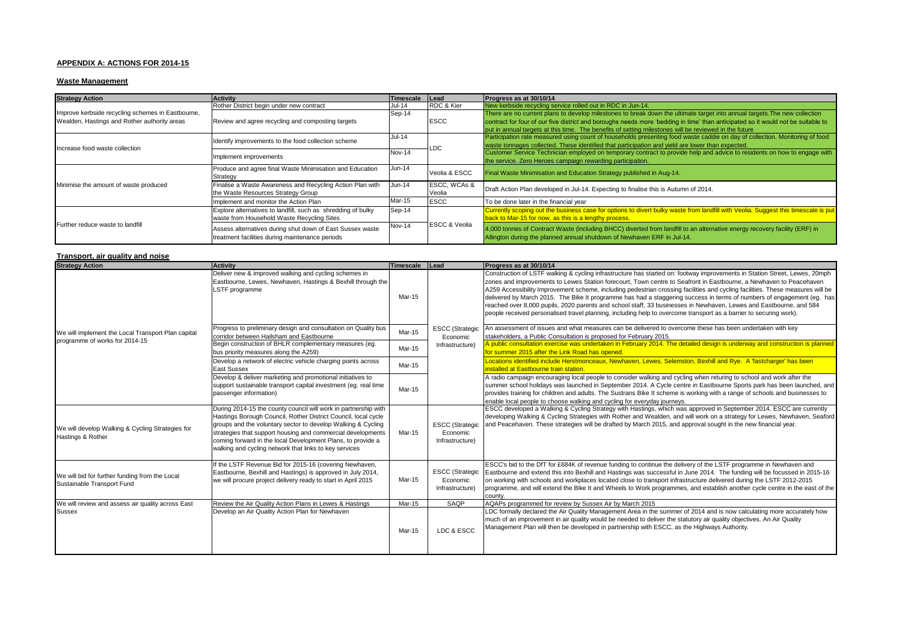#### **APPENDIX A: ACTIONS FOR 2014-15**

#### **Waste Management**

| <b>Strategy Action</b>                                                                            | <b>Activity</b>                                                                                              | Timescale     | Lead                     | Progress as at 30/10/14                                                                                                                                                                                                                                                                                                                                                 |  |
|---------------------------------------------------------------------------------------------------|--------------------------------------------------------------------------------------------------------------|---------------|--------------------------|-------------------------------------------------------------------------------------------------------------------------------------------------------------------------------------------------------------------------------------------------------------------------------------------------------------------------------------------------------------------------|--|
|                                                                                                   | Rother District begin under new contract                                                                     | <b>Jul-14</b> | RDC & Kier               | New kerbside recycling service rolled out in RDC in Jun-14.                                                                                                                                                                                                                                                                                                             |  |
| Improve kerbside recycling schemes in Eastbourne,<br>Wealden, Hastings and Rother authority areas | Review and agree recycling and composting targets                                                            | Sep-14        | <b>ESCC</b>              | There are no current plans to develop milestones to break down the ultimate target into annual targets. The new collection<br>contract for four of our five district and boroughs needs more 'bedding in time' than anticipated so it would not be suitable to<br>put in annual targets at this time. The benefits of setting milestones will be reviewed in the future |  |
| Increase food waste collection                                                                    | Identify improvements to the food collection scheme                                                          | Jul-14        | LDC                      | Participation rate measured using count of households presenting food waste caddie on day of collection. Monitoring of food<br>waste tonnages collected. These identified that participation and yield are lower than expected.                                                                                                                                         |  |
|                                                                                                   | Implement improvements                                                                                       | <b>Nov-14</b> |                          | Customer Service Technician employed on temporary contract to provide help and advice to residents on how to engage with<br>the service. Zero Heroes campaign rewarding participation.                                                                                                                                                                                  |  |
| Minimise the amount of waste produced                                                             | Produce and agree final Waste Minimisation and Education<br>Strategy                                         | $Jun-14$      | Veolia & ESCC            | Final Waste Minimisation and Education Strategy published in Aug-14.                                                                                                                                                                                                                                                                                                    |  |
|                                                                                                   | Finalise a Waste Awareness and Recycling Action Plan with<br>the Waste Resources Strategy Group              | $Jun-14$      | ESCC, WCAs &<br>Veolia   | Draft Action Plan developed in Jul-14. Expecting to finalise this is Autumn of 2014.                                                                                                                                                                                                                                                                                    |  |
|                                                                                                   | Implement and monitor the Action Plan                                                                        | Mar-15        | <b>ESCC</b>              | To be done later in the financial year                                                                                                                                                                                                                                                                                                                                  |  |
| Further reduce waste to landfill                                                                  | Explore alternatives to landfill, such as shredding of bulky<br>waste from Household Waste Recycling Sites   | Sep-14        |                          | Currently scoping out the business case for options to divert bulky waste from landfill with Veolia. Suggest this timescale is put<br>back to Mar-15 for now, as this is a lengthy process.                                                                                                                                                                             |  |
|                                                                                                   | Assess alternatives during shut down of East Sussex waste<br>treatment facilities during maintenance periods | <b>Nov-14</b> | <b>ESCC &amp; Veolia</b> | 4,000 tonnes of Contract Waste (including BHCC) diverted from landfill to an alternative energy recovery facility (ERF) in<br>Allington during the planned annual shutdown of Newhaven ERF in Jul-14.                                                                                                                                                                   |  |

#### **Transport, air quality and noise**

| <b>Strategy Action</b>                                                       | <b>Activity</b>                                                                                                                                                                                                                                                                                                                                                                           | Timescale | Lead                                                  | Progress as at 30/10/14                                                                                                                                                                                                                                                                                                                                                                                                                                                                                                                                                                                                                                                                                                                                  |
|------------------------------------------------------------------------------|-------------------------------------------------------------------------------------------------------------------------------------------------------------------------------------------------------------------------------------------------------------------------------------------------------------------------------------------------------------------------------------------|-----------|-------------------------------------------------------|----------------------------------------------------------------------------------------------------------------------------------------------------------------------------------------------------------------------------------------------------------------------------------------------------------------------------------------------------------------------------------------------------------------------------------------------------------------------------------------------------------------------------------------------------------------------------------------------------------------------------------------------------------------------------------------------------------------------------------------------------------|
|                                                                              | Deliver new & improved walking and cycling schemes in<br>Eastbourne, Lewes, Newhaven, Hastings & Bexhill through the<br>LSTF programme                                                                                                                                                                                                                                                    | Mar-15    |                                                       | Construction of LSTF walking & cycling infrastructure has started on: footway improvements in Station Street, Lewes, 20mph<br>zones and improvements to Lewes Station forecourt, Town centre to Seafront in Eastbourne, a Newhaven to Peacehaven<br>A259 Accessibility Improvement scheme, including pedestrian crossing facilities and cycling facilities. These measures will be<br>delivered by March 2015. The Bike It programme has had a staggering success in terms of numbers of engagement (eg. has<br>reached over 8,000 pupils, 2020 parents and school staff, 33 businesses in Newhaven, Lewes and Eastbourne, and 584<br>people received personalised travel planning, including help to overcome transport as a barrier to securing work). |
| We will implement the Local Transport Plan capital                           | Progress to preliminary design and consultation on Quality bus<br>corridor between Hailsham and Eastbourne                                                                                                                                                                                                                                                                                | Mar-15    | <b>ESCC</b> (Strategic<br>Economic                    | An assessment of issues and what measures can be delivered to overcome these has been undertaken with key<br>stakeholders, a Public Consultation is proposed for February 2015.                                                                                                                                                                                                                                                                                                                                                                                                                                                                                                                                                                          |
| programme of works for 2014-15                                               | Begin construction of BHLR complementary measures (eq.<br>bus priority measures along the A259)                                                                                                                                                                                                                                                                                           | Mar-15    | Infrastructure)                                       | A public consultation exercise was undertaken in February 2014. The detailed design is underway and construction is planned<br>for summer 2015 after the Link Road has opened.                                                                                                                                                                                                                                                                                                                                                                                                                                                                                                                                                                           |
|                                                                              | Develop a network of electric vehicle charging points across<br><b>East Sussex</b>                                                                                                                                                                                                                                                                                                        | Mar-15    |                                                       | Locations identified include Herstmonceaux, Newhaven, Lewes, Selemston, Bexhill and Rye. A 'fastcharger' has been<br>installed at Eastbourne train station.                                                                                                                                                                                                                                                                                                                                                                                                                                                                                                                                                                                              |
|                                                                              | Develop & deliver marketing and promotional initiatives to<br>support sustainable transport capital investment (eq. real time<br>passenger information)                                                                                                                                                                                                                                   | Mar-15    |                                                       | A radio campaign encouraging local people to consider walking and cycling when returing to school and work after the<br>summer school holidays was launched in September 2014. A Cycle centre in Eastbourne Sports park has been launched, and<br>provides training for children and adults. The Sustrans Bike It scheme is working with a range of schools and businesses to<br>enable local people to choose walking and cycling for everyday journeys.                                                                                                                                                                                                                                                                                                |
| We will develop Walking & Cycling Strategies for<br>Hastings & Rother        | During 2014-15 the county council will work in partnership with<br>Hastings Borough Council, Rother District Council, local cycle<br>groups and the voluntary sector to develop Walking & Cycling<br>strategies that support housing and commercial developments<br>coming forward in the local Development Plans, to provide a<br>walking and cycling network that links to key services | Mar-15    | <b>ESCC</b> (Strategic<br>Economic<br>Infrastructure) | ESCC developed a Walking & Cycling Strategy with Hastings, which was approved in September 2014. ESCC are currently<br>developing Walking & Cycling Strategies with Rother and Wealden, and will work on a strategy for Lewes, Newhaven, Seaford<br>and Peacehaven. These strategies will be drafted by March 2015, and approval sought in the new financial year.                                                                                                                                                                                                                                                                                                                                                                                       |
| We will bid for further funding from the Local<br>Sustainable Transport Fund | If the LSTF Revenue Bid for 2015-16 (covering Newhaven,<br>Eastbourne, Bexhill and Hastings) is approved in July 2014,<br>we will procure project delivery ready to start in April 2015                                                                                                                                                                                                   | Mar-15    | <b>ESCC (Strategic</b><br>Economic<br>Infrastructure) | ESCC's bid to the DfT for £684K of revenue funding to continue the delivery of the LSTF programme in Newhaven and<br>Eastbourne and extend this into Bexhill and Hastings was successful in June 2014. The funding will be focussed in 2015-16<br>on working with schools and workplaces located close to transport infrastructure delivered during the LSTF 2012-2015<br>programme, and will extend the Bike It and Wheels to Work programmes, and establish another cycle centre in the east of the<br>county.                                                                                                                                                                                                                                         |
| We will review and assess air quality across East                            | Review the Air Quality Action Plans in Lewes & Hastings                                                                                                                                                                                                                                                                                                                                   | Mar-15    | SAQP                                                  | AQAPs programmed for review by Sussex Air by March 2015                                                                                                                                                                                                                                                                                                                                                                                                                                                                                                                                                                                                                                                                                                  |
| Sussex                                                                       | Develop an Air Quality Action Plan for Newhaven                                                                                                                                                                                                                                                                                                                                           | Mar-15    | LDC & ESCC                                            | LDC formally declared the Air Quality Management Area in the summer of 2014 and is now calculating more accurately how<br>much of an improvement in air quality would be needed to deliver the statutory air quality objectives. An Air Quality<br>Management Plan will then be developed in partnership with ESCC, as the Highways Authority.                                                                                                                                                                                                                                                                                                                                                                                                           |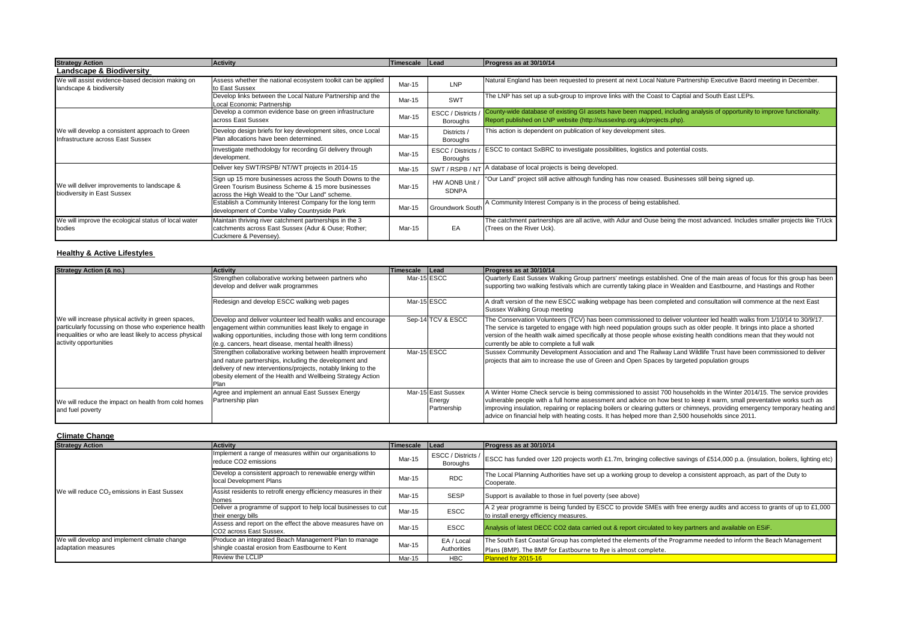| <b>Strategy Action</b>                                                              | <b>Activity</b>                                                                                                                                                   | <b>Timescale</b> | Lead                           | Progress as at 30/10/14                                                                                                                                                                             |
|-------------------------------------------------------------------------------------|-------------------------------------------------------------------------------------------------------------------------------------------------------------------|------------------|--------------------------------|-----------------------------------------------------------------------------------------------------------------------------------------------------------------------------------------------------|
| Landscape & Biodiversity                                                            |                                                                                                                                                                   |                  |                                |                                                                                                                                                                                                     |
| We will assist evidence-based decision making on<br>landscape & biodiversity        | Assess whether the national ecosystem toolkit can be applied<br>to East Sussex                                                                                    | Mar-15           | LNP                            | Natural England has been requested to present at next Local Nature Partnership Executive Baord meeting in December.                                                                                 |
|                                                                                     | Develop links between the Local Nature Partnership and the<br>Local Economic Partnership                                                                          | Mar-15           | <b>SWT</b>                     | The LNP has set up a sub-group to improve links with the Coast to Captial and South East LEPs.                                                                                                      |
|                                                                                     | Develop a common evidence base on green infrastructure<br>across East Sussex                                                                                      | Mar-15           | ESCC / Districts<br>Boroughs   | County-wide database of existing GI assets have been mapped, including analysis of opportunity to improve functionality.<br>Report published on LNP website (http://sussexlnp.org.uk/projects.php). |
| We will develop a consistent approach to Green<br>Infrastructure across East Sussex | Develop design briefs for key development sites, once Local<br>Plan allocations have been determined.                                                             | Mar-15           | Districts<br>Boroughs          | This action is dependent on publication of key development sites.                                                                                                                                   |
|                                                                                     | Investigate methodology for recording GI delivery through<br>development.                                                                                         | Mar-15           | ESCC / Districts<br>Boroughs   | ESCC to contact SxBRC to investigate possibilities, logistics and potential costs.                                                                                                                  |
|                                                                                     | Deliver key SWT/RSPB/ NT/WT projects in 2014-15                                                                                                                   | Mar-15           | SWT/RSPB/NT                    | database of local projects is being developed.                                                                                                                                                      |
| We will deliver improvements to landscape &<br>biodiversity in East Sussex          | Sign up 15 more businesses across the South Downs to the<br>Green Tourism Business Scheme & 15 more businesses<br>across the High Weald to the "Our Land" scheme. | Mar-15           | HW AONB Unit /<br><b>SDNPA</b> | "Our Land" project still active although funding has now ceased. Businesses still being signed up.                                                                                                  |
|                                                                                     | Establish a Community Interest Company for the long term<br>development of Combe Valley Countryside Park                                                          | Mar-15           | <b>Groundwork South</b>        | A Community Interest Company is in the process of being established.                                                                                                                                |
| We will improve the ecological status of local water<br>bodies                      | Maintain thriving river catchment partnerships in the 3<br>catchments across East Sussex (Adur & Ouse; Rother;<br>Cuckmere & Pevensey).                           | Mar-15           | EA                             | The catchment partnerships are all active, with Adur and Ouse being the most advanced. Includes smaller projects like TrUck<br>(Trees on the River Uck).                                            |

#### **Healthy & Active Lifestyles**

| Strategy Action (& no.)                                                                                                                                                                           | <b>Activity</b>                                                                                                                                                                                                                                        | Timescale   | <b>Lead</b>                                 | Progress as at 30/10/14                                                                                                                                                                                                                                                                                                                                                                                                                                                                  |
|---------------------------------------------------------------------------------------------------------------------------------------------------------------------------------------------------|--------------------------------------------------------------------------------------------------------------------------------------------------------------------------------------------------------------------------------------------------------|-------------|---------------------------------------------|------------------------------------------------------------------------------------------------------------------------------------------------------------------------------------------------------------------------------------------------------------------------------------------------------------------------------------------------------------------------------------------------------------------------------------------------------------------------------------------|
| We will increase physical activity in green spaces,<br>particularly focussing on those who experience health<br>inequalities or who are least likely to access physical<br>activity opportunities | Strengthen collaborative working between partners who<br>develop and deliver walk programmes                                                                                                                                                           |             | Mar-15 ESCC                                 | Quarterly East Sussex Walking Group partners' meetings established. One of the main areas of focus for this group has been<br>supporting two walking festivals which are currently taking place in Wealden and Eastbourne, and Hastings and Rother                                                                                                                                                                                                                                       |
|                                                                                                                                                                                                   | Redesign and develop ESCC walking web pages                                                                                                                                                                                                            | Mar-15 ESCC |                                             | A draft version of the new ESCC walking webpage has been completed and consultation will commence at the next East<br>Sussex Walking Group meeting                                                                                                                                                                                                                                                                                                                                       |
|                                                                                                                                                                                                   | Develop and deliver volunteer led health walks and encourage<br>engagement within communities least likely to engage in<br>walking opportunities, including those with long term conditions<br>(e.g. cancers, heart disease, mental health illness)    |             | Sep-14 TCV & ESCC                           | The Conservation Volunteers (TCV) has been commissioned to deliver volunteer led health walks from 1/10/14 to 30/9/17.<br>The service is targeted to engage with high need population groups such as older people. It brings into place a shorted<br>version of the health walk aimed specifically at those people whose existing health conditions mean that they would not<br>currently be able to complete a full walk                                                                |
|                                                                                                                                                                                                   | Strengthen collaborative working between health improvement<br>and nature partnerships, including the development and<br>delivery of new interventions/projects, notably linking to the<br>obesity element of the Health and Wellbeing Strategy Action |             | Mar-15 ESCC                                 | Sussex Community Development Association and and The Railway Land Wildlife Trust have been commissioned to deliver<br>projects that aim to increase the use of Green and Open Spaces by targeted population groups                                                                                                                                                                                                                                                                       |
| We will reduce the impact on health from cold homes<br>and fuel poverty                                                                                                                           | Agree and implement an annual East Sussex Energy<br>Partnership plan                                                                                                                                                                                   |             | Mar-15 East Sussex<br>Energy<br>Partnership | A Winter Home Check servcie is being commissioned to assist 700 households in the Winter 2014/15. The service provides<br>vulnerable people with a full home assessment and advice on how best to keep it warm, small preventative works such as<br>improving insulation, repairing or replacing boilers or clearing gutters or chimneys, providing emergency temporary heating and<br>advice on financial help with heating costs. It has helped more than 2,500 households since 2011. |

| <b>Climate Change</b>                                   |                                                                                       |                |                                       |                                                                                                                                                                   |  |  |  |
|---------------------------------------------------------|---------------------------------------------------------------------------------------|----------------|---------------------------------------|-------------------------------------------------------------------------------------------------------------------------------------------------------------------|--|--|--|
| <b>Strategy Action</b>                                  | Activity                                                                              | Timescale Lead |                                       | Progress as at 30/10/14                                                                                                                                           |  |  |  |
|                                                         | Implement a range of measures within our organisations to<br>reduce CO2 emissions     | Mar-15         | ESCC / Districts /<br><b>Boroughs</b> | ESCC has funded over 120 projects worth £1.7m, bringing collective savings of £514,000 p.a. (insulation, boilers, lighting etc)                                   |  |  |  |
|                                                         | Develop a consistent approach to renewable energy within<br>local Development Plans   | Mar-15         | <b>RDC</b>                            | The Local Planning Authorities have set up a working group to develop a consistent approach, as part of the Duty to<br>Cooperate.                                 |  |  |  |
| We will reduce CO <sub>2</sub> emissions in East Sussex | Assist residents to retrofit energy efficiency measures in their<br>homes             | Mar-15         | <b>SESP</b>                           | Support is available to those in fuel poverty (see above)                                                                                                         |  |  |  |
|                                                         | Deliver a programme of support to help local businesses to cut<br>their energy bills  | Mar-15         | <b>ESCC</b>                           | A 2 year programme is being funded by ESCC to provide SMEs with free energy audits and access to grants of up to £1,000<br>to install energy efficiency measures. |  |  |  |
|                                                         | Assess and report on the effect the above measures have on<br>CO2 across East Sussex. | Mar-15         | <b>ESCC</b>                           | Analysis of latest DECC CO2 data carried out & report circulated to key partners and available on ESIF.                                                           |  |  |  |
| We will develop and implement climate change            | Produce an integrated Beach Management Plan to manage                                 |                | EA / Local                            | The South East Coastal Group has completed the elements of the Programme needed to inform the Beach Management                                                    |  |  |  |
| adaptation measures                                     | shingle coastal erosion from Eastbourne to Kent                                       | Mar-15         | Authorities                           | Plans (BMP). The BMP for Eastbourne to Rye is almost complete.                                                                                                    |  |  |  |
|                                                         | Review the LCLIP                                                                      | Mar-15         | <b>HBC</b>                            | Planned for 2015-16                                                                                                                                               |  |  |  |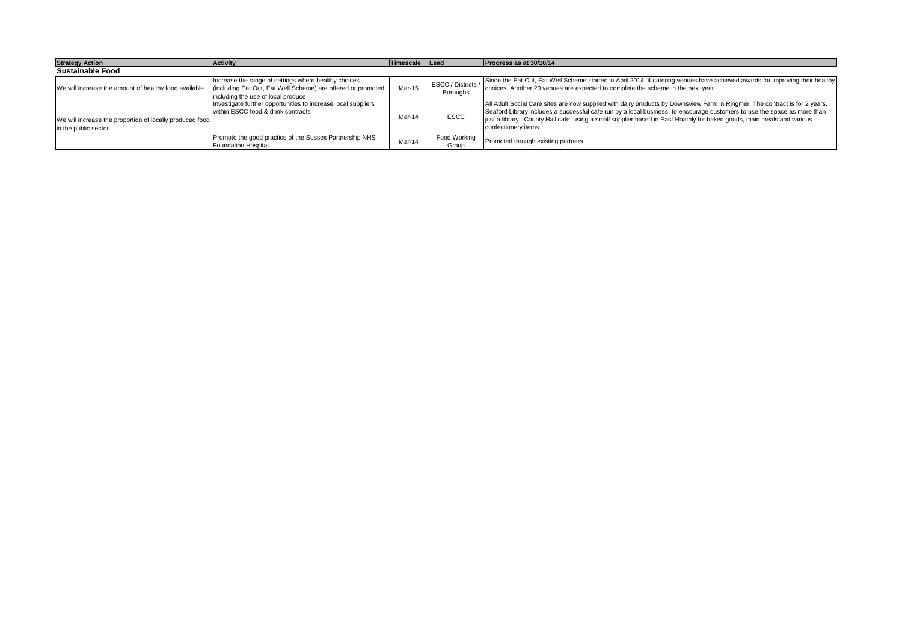| <b>Strategy Action</b>                                                           | Activity                                                                                                                                                    | Timescale Lead |                                       | Progress as at 30/10/14                                                                                                                                                                                                                                                                                                                                                                                   |  |  |
|----------------------------------------------------------------------------------|-------------------------------------------------------------------------------------------------------------------------------------------------------------|----------------|---------------------------------------|-----------------------------------------------------------------------------------------------------------------------------------------------------------------------------------------------------------------------------------------------------------------------------------------------------------------------------------------------------------------------------------------------------------|--|--|
| <b>Sustainable Food</b>                                                          |                                                                                                                                                             |                |                                       |                                                                                                                                                                                                                                                                                                                                                                                                           |  |  |
| We will increase the amount of healthy food available                            | Increase the range of settings where healthy choices<br>(including Eat Out, Eat Well Scheme) are offered or promoted,<br>including the use of local produce | Mar-15         | ESCC / Districts /<br><b>Boroughs</b> | Since the Eat Out, Eat Well Scheme started in April 2014, 4 catering venues have achieved awards for improving their healthy<br>choices. Another 20 venues are expected to complete the scheme in the next year.                                                                                                                                                                                          |  |  |
| We will increase the proportion of locally produced food<br>in the public sector | Investigate further opportunities to increase local suppliers<br>within ESCC food & drink contracts                                                         | Mar-14         | <b>ESCC</b>                           | All Adult Social Care sites are now supplied with dairy products by Downsview Farm in Ringmer. The contract is for 2 years.<br>Seaford Library includes a successful café run by a local business, to encourage customers to use the space as more than<br>just a library. County Hall cafe: using a small supplier based in East Hoathly for baked goods, main meals and various<br>confectionery items. |  |  |
|                                                                                  | Promote the good practice of the Sussex Partnership NHS<br>Foundation Hospital                                                                              | Mar-14         | Food Working<br>Group                 | Promoted through existing partners                                                                                                                                                                                                                                                                                                                                                                        |  |  |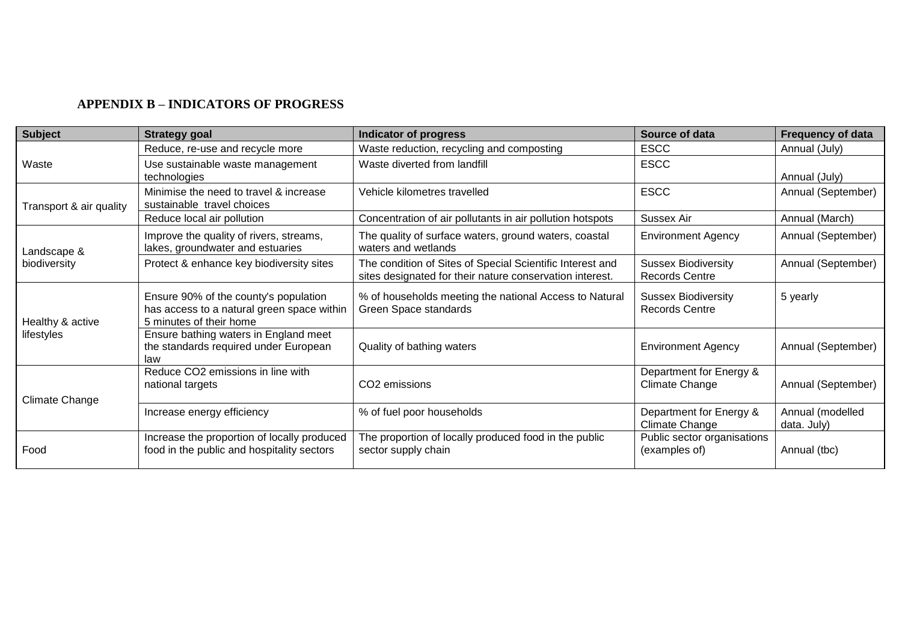## **APPENDIX B – INDICATORS OF PROGRESS**

| <b>Subject</b>                 | <b>Strategy goal</b>                                                                                           | Indicator of progress                                                                                                 | Source of data                                      | <b>Frequency of data</b>        |
|--------------------------------|----------------------------------------------------------------------------------------------------------------|-----------------------------------------------------------------------------------------------------------------------|-----------------------------------------------------|---------------------------------|
|                                | Reduce, re-use and recycle more                                                                                | Waste reduction, recycling and composting                                                                             | <b>ESCC</b>                                         | Annual (July)                   |
| Waste                          | Use sustainable waste management<br>technologies                                                               | Waste diverted from landfill                                                                                          | <b>ESCC</b>                                         | Annual (July)                   |
| Transport & air quality        | Minimise the need to travel & increase<br>sustainable travel choices                                           | Vehicle kilometres travelled                                                                                          | <b>ESCC</b>                                         | Annual (September)              |
|                                | Reduce local air pollution                                                                                     | Concentration of air pollutants in air pollution hotspots                                                             | Sussex Air                                          | Annual (March)                  |
| Landscape &                    | Improve the quality of rivers, streams,<br>lakes, groundwater and estuaries                                    | The quality of surface waters, ground waters, coastal<br>waters and wetlands                                          | <b>Environment Agency</b>                           | Annual (September)              |
| biodiversity                   | Protect & enhance key biodiversity sites                                                                       | The condition of Sites of Special Scientific Interest and<br>sites designated for their nature conservation interest. | <b>Sussex Biodiversity</b><br><b>Records Centre</b> | Annual (September)              |
| Healthy & active<br>lifestyles | Ensure 90% of the county's population<br>has access to a natural green space within<br>5 minutes of their home | % of households meeting the national Access to Natural<br>Green Space standards                                       | <b>Sussex Biodiversity</b><br><b>Records Centre</b> | 5 yearly                        |
|                                | Ensure bathing waters in England meet<br>the standards required under European<br>law                          | Quality of bathing waters                                                                                             | <b>Environment Agency</b>                           | Annual (September)              |
| <b>Climate Change</b>          | Reduce CO2 emissions in line with<br>national targets                                                          | CO2 emissions                                                                                                         | Department for Energy &<br>Climate Change           | Annual (September)              |
|                                | Increase energy efficiency                                                                                     | % of fuel poor households                                                                                             | Department for Energy &<br>Climate Change           | Annual (modelled<br>data. July) |
| Food                           | Increase the proportion of locally produced<br>food in the public and hospitality sectors                      | The proportion of locally produced food in the public<br>sector supply chain                                          | Public sector organisations<br>(examples of)        | Annual (tbc)                    |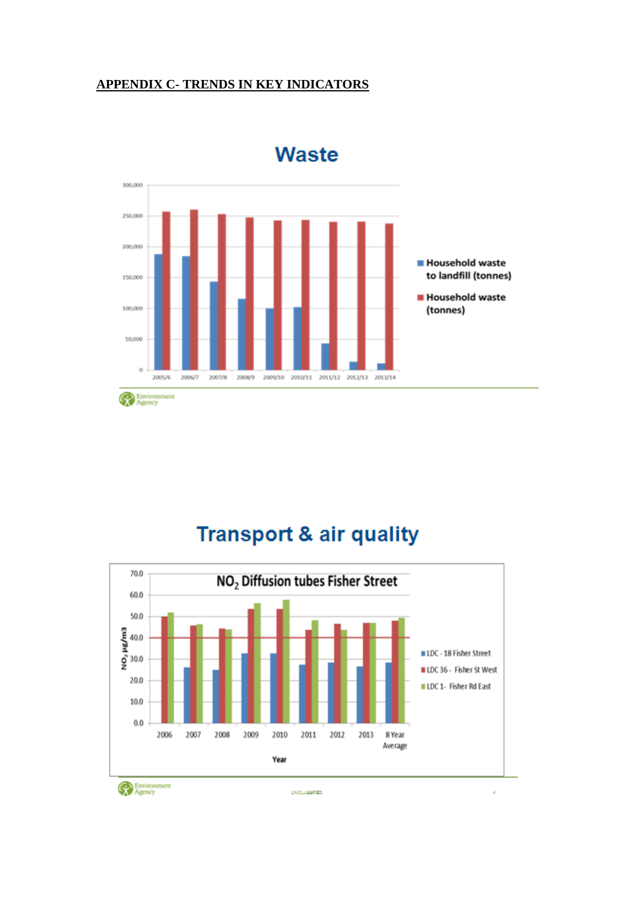## **APPENDIX C- TRENDS IN KEY INDICATORS**



**Waste** 

## **Transport & air quality**